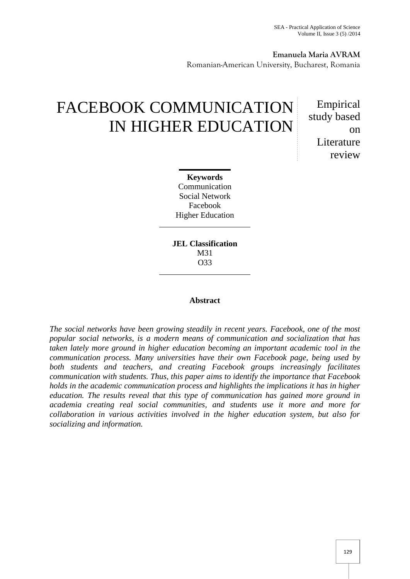**Emanuela Maria AVRAM** Romanian-American University, Bucharest, Romania

# FACEBOOK COMMUNICATION IN HIGHER EDUCATION

Empirical study based on **L**iterature review

**Keywords** Communication Social Network Facebook Higher Education

**JEL Classification** M31 O33

## **Abstract**

*The social networks have been growing steadily in recent years. Facebook, one of the most popular social networks, is a modern means of communication and socialization that has taken lately more ground in higher education becoming an important academic tool in the communication process. Many universities have their own Facebook page, being used by both students and teachers, and creating Facebook groups increasingly facilitates communication with students. Thus, this paper aims to identify the importance that Facebook holds in the academic communication process and highlights the implications it has in higher education. The results reveal that this type of communication has gained more ground in academia creating real social communities, and students use it more and more for collaboration in various activities involved in the higher education system, but also for socializing and information.*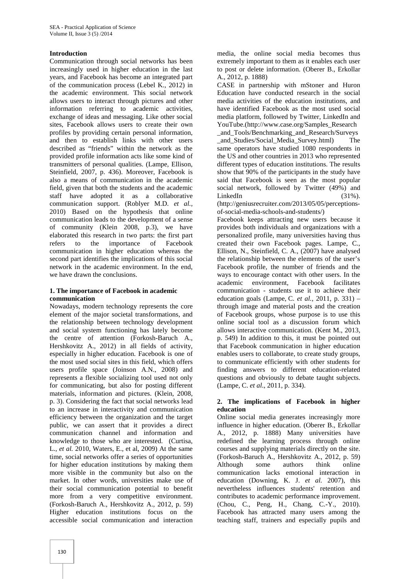# **Introduction**

Communication through social networks has been increasingly used in higher education in the last years, and Facebook has become an integrated part of the communication process (Lebel K., 2012) in the academic environment. This social network allows users to interact through pictures and other information referring to academic activities, exchange of ideas and messaging. Like other social sites, Facebook allows users to create their own profiles by providing certain personal information, and then to establish links with other users described as "friends" within the network as the provided profile information acts like some kind of transmitters of personal qualities. (Lampe, Ellison, Steinfield, 2007, p. 436). Moreover, Facebook is also a means of communication in the academic field, given that both the students and the academic staff have adopted it as a collaborative communication support. (Roblyer M.D. *et al.,* 2010) Based on the hypothesis that online communication leads to the development of a sense of community (Klein 2008, p.3), we have elaborated this research in two parts: the first part refers to the importance of Facebook communication in higher education whereas the second part identifies the implications of this social network in the academic environment. In the end, we have drawn the conclusions.

### **1. The importance of Facebook in academic communication**

Nowadays, modern technology represents the core element of the major societal transformations, and the relationship between technology development and social system functioning has lately become the centre of attention (Forkosh-Baruch A., Hershkovitz A., 2012) in all fields of activity, especially in higher education. Facebook is one of the most used social sites in this field, which offers users profile space (Joinson A.N., 2008) and represents a flexible socializing tool used not only for communicating, but also for posting different materials, information and pictures. (Klein, 2008, p. 3). Considering the fact that social networks lead to an increase in interactivity and communication efficiency between the organization and the target public, we can assert that it provides a direct communication channel and information and knowledge to those who are interested. (Curtisa, L., *et al.* 2010, Waters, E., et al, 2009) At the same time, social networks offer a series of opportunities for higher education institutions by making them more visible in the community but also on the market. In other words, universities make use of their social communication potential to benefit more from a very competitive environment. (Forkosh-Baruch A., Hershkovitz A., 2012, p. 59) Higher education institutions focus on the accessible social communication and interaction

media, the online social media becomes thus extremely important to them as it enables each user to post or delete information. (Oberer B., Erkollar A., 2012, p. 1888)

CASE in partnership with mStoner and Huron Education have conducted research in the social media activities of the education institutions, and have identified Facebook as the most used social media platform, followed by Twitter, LinkedIn and YouTube.(http://www.case.org/Samples\_Research \_and\_Tools/Benchmarking\_and\_Research/Surveys \_and\_Studies/Social\_Media\_Survey.html) The same operators have studied 1080 respondents in the US and other countries in 2013 who represented different types of education institutions. The results show that 90% of the participants in the study have said that Facebook is seen as the most popular social network, followed by Twitter (49%) and  $LinkedIn$  (31%).

(http://geniusrecruiter.com/2013/05/05/perceptions of-social-media-schools-and-students/)

Facebook keeps attracting new users because it provides both individuals and organizations with a personalized profile, many universities having thus created their own Facebook pages. Lampe, C., Ellison, N., Steinfield, C. A., (2007) have analysed the relationship between the elements of the user's Facebook profile, the number of friends and the ways to encourage contact with other users. In the academic environment, Facebook facilitates communication - students use it to achieve their education goals (Lampe, C. *et al.,* 2011, p. 331) – through image and material posts and the creation of Facebook groups, whose purpose is to use this online social tool as a discussion forum which allows interactive communication. (Kent M., 2013, p. 549) In addition to this, it must be pointed out that Facebook communication in higher education enables users to collaborate, to create study groups, to communicate efficiently with other students for finding answers to different education-related questions and obviously to debate taught subjects. (Lampe, C. *et al*., 2011, p. 334).

# **2. The implications of Facebook in higher education**

Online social media generates increasingly more influence in higher education. (Oberer B., Erkollar A., 2012, p. 1888) Many universities have redefined the learning process through online courses and supplying materials directly on the site. (Forkosh-Baruch A., Hershkovitz A., 2012, p. 59) Although some authors think online communication lacks emotional interaction in education (Downing, K. J. *et al.* 2007), this nevertheless influences students' retention and contributes to academic performance improvement. (Chou, C., Peng, H., Chang, C.-Y., 2010). Facebook has attracted many users among the teaching staff, trainers and especially pupils and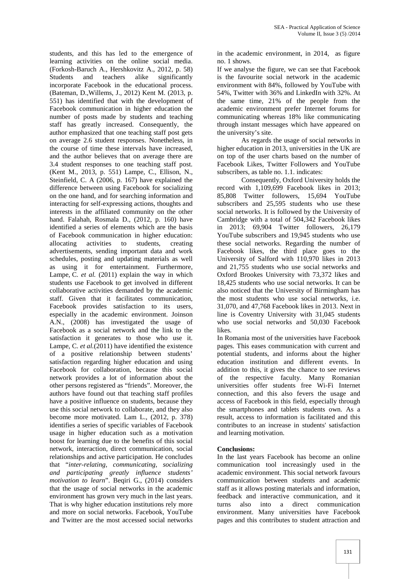students, and this has led to the emergence of learning activities on the online social media. (Forkosh-Baruch A., Hershkovitz A., 2012, p. 58) Students and teachers alike significantly incorporate Facebook in the educational process. (Bateman, D.,Willems, J., 2012) Kent M. (2013, p. 551) has identified that with the development of Facebook communication in higher education the number of posts made by students and teaching staff has greatly increased. Consequently, the author emphasized that one teaching staff post gets on average 2.6 student responses. Nonetheless, in the course of time these intervals have increased, and the author believes that on average there are 3.4 student responses to one teaching staff post. (Kent M., 2013, p. 551) Lampe, C., Ellison, N., Steinfield, C. A (2006, p. 167) have explained the difference between using Facebook for socializing on the one hand, and for searching information and interacting for self-expressing actions, thoughts and interests in the affiliated community on the other hand. Falahah, Rosmala D., (2012, p. 160) have identified a series of elements which are the basis of Facebook communication in higher education: allocating activities to students, creating advertisements, sending important data and work schedules, posting and updating materials as well as using it for entertainment. Furthermore, Lampe, C. *et al.* (2011) explain the way in which students use Facebook to get involved in different collaborative activities demanded by the academic staff. Given that it facilitates communication, Facebook provides satisfaction to its users, especially in the academic environment. Joinson A.N., (2008) has investigated the usage of Facebook as a social network and the link to the satisfaction it generates to those who use it. Lampe, C. *et al.*(2011) have identified the existence of a positive relationship between students' satisfaction regarding higher education and using Facebook for collaboration, because this social network provides a lot of information about the other persons registered as "friends". Moreover, the authors have found out that teaching staff profiles have a positive influence on students, because they use this social network to collaborate, and they also become more motivated. Lam L., (2012, p. 378) identifies a series of specific variables of Facebook usage in higher education such as a motivation boost for learning due to the benefits of this social network, interaction, direct communication, social relationships and active participation. He concludes that "*inter-relating, communicating, socializing and participating greatly influence students' motivation to learn*". Begiri G., (2014) considers that the usage of social networks in the academic environment has grown very much in the last years. That is why higher education institutions rely more and more on social networks. Facebook, YouTube and Twitter are the most accessed social networks

in the academic environment, in 2014, as figure no. 1 shows.

If we analyse the figure, we can see that Facebook is the favourite social network in the academic environment with 84%, followed by YouTube with 54%, Twitter with 36% and LinkedIn with 32%. At the same time, 21% of the people from the academic environment prefer Internet forums for communicating whereas 18% like communicating through instant messages which have appeared on the university's site.

As regards the usage of social networks in higher education in 2013, universities in the UK are on top of the user charts based on the number of Facebook Likes, Twitter Followers and YouTube subscribers, as table no. 1.1. indicates:

Consequently, Oxford University holds the record with 1,109,699 Facebook likes in 2013; Twitter followers, 15,694 YouTube subscribers and 25,595 students who use these social networks. It is followed by the University of Cambridge with a total of 504,342 Facebook likes in 2013; 69,904 Twitter followers, 26,179 YouTube subscribers and 19,945 students who use these social networks. Regarding the number of Facebook likes, the third place goes to the University of Salford with 110,970 likes in 2013 and 21,755 students who use social networks and Oxford Brookes University with 73,372 likes and 18,425 students who use social networks. It can be also noticed that the University of Birmingham has the most students who use social networks, i.e. 31,070, and 47,768 Facebook likes in 2013. Next in line is Coventry University with 31,045 students who use social networks and 50,030 Facebook likes.

In Romania most of the universities have Facebook pages. This eases communication with current and potential students, and informs about the higher education institution and different events. In addition to this, it gives the chance to see reviews of the respective faculty. Many Romanian universities offer students free Wi-Fi Internet connection, and this also fevers the usage and access of Facebook in this field, especially through the smartphones and tablets students own. As a result, access to information is facilitated and this contributes to an increase in students' satisfaction and learning motivation.

# **Conclusions:**

In the last years Facebook has become an online communication tool increasingly used in the academic environment. This social network favours communication between students and academic staff as it allows posting materials and information, feedback and interactive communication, and it turns also into a direct communication environment. Many universities have Facebook pages and this contributes to student attraction and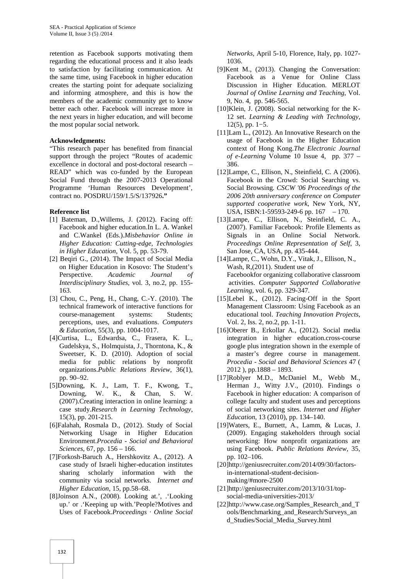retention as Facebook supports motivating them regarding the educational process and it also leads to satisfaction by facilitating communication. At the same time, using Facebook in higher education creates the starting point for adequate socializing and informing atmosphere, and this is how the members of the academic community get to know better each other. Facebook will increase more in the next years in higher education, and will become the most popular social network.

#### **Acknowledgments:**

"This research paper has benefited from financial support through the project "Routes of academic excellence in doctoral and post-doctoral research – READ" which was co-funded by the European Social Fund through the 2007-2013 Operational Programme 'Human Resources Development', contract no. POSDRU/159/1.5/S/137926**."**

### **Reference list**

- [1] Bateman, D.,Willems, J. (2012). Facing off: Facebook and higher education.In L. A. Wankel and C.Wankel (Eds.).*Misbehavior Online in Higher Education: Cutting-edge, Technologies in Higher Education*, Vol. 5, pp. 53-79.
- [2] Beqiri G., (2014). The Impact of Social Media on Higher Education in Kosovo: The Student's Perspective. *Academic Journal of Interdisciplinary Studies*, vol. 3, no.2, pp. 155- 163.
- [3] Chou, C., Peng, H., Chang, C.-Y. (2010). The technical framework of interactive functions for course-management systems: Students; perceptions, uses, and evaluations. *Computers & Education*, 55(3), pp. 1004-1017.
- [4]Curtisa, L., Edwardsa, C., Frasera, K. L., Gudelskya, S., Holmquista, J., Thorntona, K., & Sweetser, K. D. (2010). Adoption of social media for public relations by nonprofit organizations.*Public Relations Review*, 36(1), pp. 90–92.
- [5]Downing, K. J., Lam, T. F., Kwong, T., Downing, W. K., & Chan, S. W. (2007).Creating interaction in online learning: a case study.*Research in Learning Technology*, 15(3), pp. 201-215.
- [6]Falahah, Rosmala D., (2012). Study of Social Networking Usage in Higher Education Environment.*Procedia - Social and Behavioral Sciences*, 67, pp. 156 – 166.
- [7]Forkosh-Baruch A., Hershkovitz A., (2012). A case study of Israeli higher-education institutes sharing scholarly information with the community via social networks. *Internet and Higher Education*, 15, pp.58–68.
- [8]Joinson A.N., (2008). Looking at.', .'Looking up.' or .'Keeping up with.'People?Motives and Uses of Facebook.*Proceedings · Online Social*

*Networks,* April 5-10, Florence, Italy, pp. 1027- 1036.

- [9]Kent M., (2013). Changing the Conversation: Facebook as a Venue for Online Class Discussion in Higher Education. MERLOT *Journal of Online Learning and Teaching*, Vol. 9, No. 4, pp. 546-565.
- [10]Klein, J. (2008). Social networking for the K- 12 set. *Learning & Leading with Technology*, 12(5), pp. 1−5.
- [11] Lam L., (2012). An Innovative Research on the usage of Facebook in the Higher Education context of Hong Kong.*The Electronic Journal of e-Learning* Volume 10 Issue 4, pp. 377 – 386.
- [12]Lampe, C., Ellison, N., Steinfield, C. A (2006). Facebook in the Crowd: Social Searching vs. Social Browsing*. CSCW '06 Proceedings of the 2006 20th anniversary conference on Computer supported cooperative work*, New York, NY, USA, ISBN:1-59593-249-6 pp. 167 – 170.
- [13]Lampe, C., Ellison, N., Steinfield, C. A., (2007). Familiar Facebook: Profile Elements as Signals in an Online Social Network. *Proceedings Online Representation of Self*, 3, San Jose, CA, USA, pp. 435-444.
- [14]Lampe, C., Wohn, D.Y., Vitak, J., Ellison, N., Wash, R,(2011). Student use of Facebookfor organizing collaborative classroom activities. *Computer Supported Collaborative Learning*, vol. 6, pp. 329-347.
- [15]Lebel K., (2012). Facing-Off in the Sport Management Classroom: Using Facebook as an educational tool. *Teaching Innovation Projects*, Vol. 2, Iss. 2, no.2, pp. 1-11.
- [16]Oberer B., Erkollar A., (2012). Social media integration in higher education.cross-course google plus integration shown in the exemple of a master's degree course in management. *Procedia - Social and Behavioral Sciences* 47 ( 2012 ), pp.1888 – 1893.
- [17]Roblyer M.D., McDaniel M., Webb M., Herman J., Witty J.V., (2010). Findings o Facebook in higher education: A comparison of college faculty and student uses and perceptions of social networking sites. *Internet and Higher Education*, 13 (2010), pp. 134–140.
- [19]Waters, E., Burnett, A., Lamm, & Lucas, J. (2009). Engaging stakeholders through social networking: How nonprofit organizations are using Facebook. *Public Relations Review*, 35, pp. 102–106.
- [20]http://geniusrecruiter.com/2014/09/30/factorsin-international-student-decision making/#more-2500
- [21]http://geniusrecruiter.com/2013/10/31/top social-media-universities-2013/
- [22]http://www.case.org/Samples\_Research\_and\_T ools/Benchmarking\_and\_Research/Surveys\_an d\_Studies/Social\_Media\_Survey.html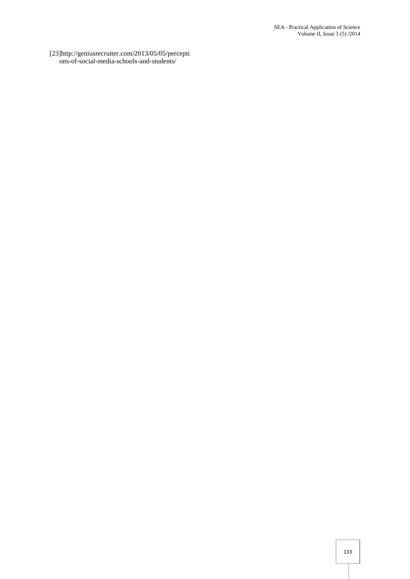[23]http://geniusrecruiter.com/2013/05/05/percepti ons-of-social-media-schools-and-students/